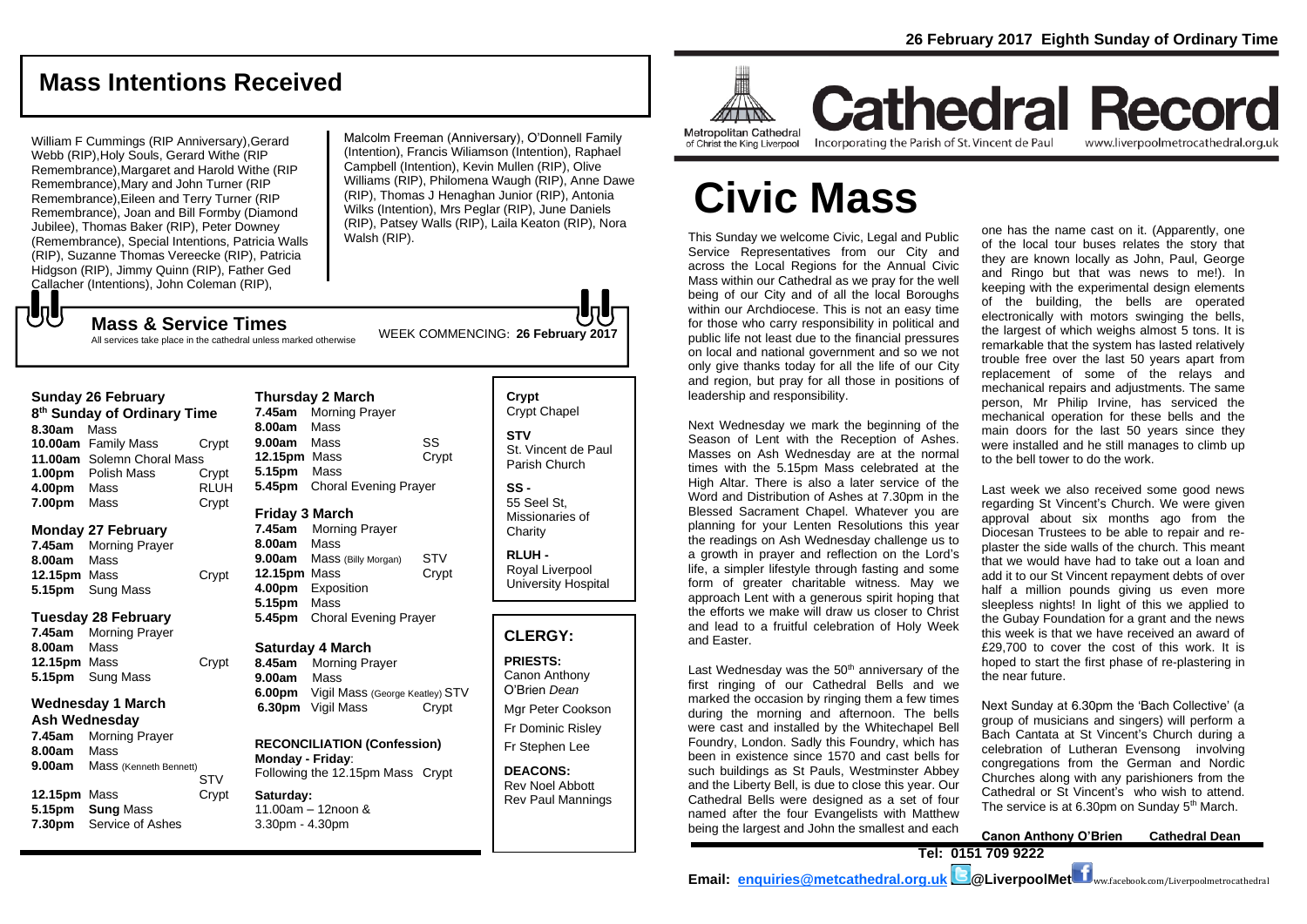# **Mass Intentions Received**

William F Cummings (RIP Anniversary),Gerard Webb (RIP),Holy Souls, Gerard Withe (RIP Remembrance),Margaret and Harold Withe (RIP Remembrance),Mary and John Turner (RIP Remembrance),Eileen and Terry Turner (RIP Remembrance), Joan and Bill Formby (Diamond Jubilee), Thomas Baker (RIP), Peter Downey (Remembrance), Special Intentions, Patricia Walls (RIP), Suzanne Thomas Vereecke (RIP), Patricia Hidgson (RIP), Jimmy Quinn (RIP), Father Ged Callacher (Intentions), John Coleman (RIP),

Malcolm Freeman (Anniversary), O'Donnell Family (Intention), Francis Wiliamson (Intention), Raphael Campbell (Intention), Kevin Mullen (RIP), Olive Williams (RIP), Philomena Waugh (RIP), Anne Dawe (RIP), Thomas J Henaghan Junior (RIP), Antonia Wilks (Intention), Mrs Peglar (RIP), June Daniels (RIP), Patsey Walls (RIP), Laila Keaton (RIP), Nora Walsh (RIP).

WEEK COMMENCING: **<sup>26</sup> February 2017 Mass & Service Times** All services take place in the cathedral unless marked otherwise

| <b>Sunday 26 February</b>               |                            |             |
|-----------------------------------------|----------------------------|-------------|
| 8 <sup>th</sup> Sunday of Ordinary Time |                            |             |
| 8.30am Mass                             |                            |             |
|                                         | 10.00am Family Mass        | Crypt       |
|                                         | 11.00am Solemn Choral Mass |             |
|                                         | 1.00pm Polish Mass         | Crypt       |
| 4.00pm Mass                             |                            | <b>RLUH</b> |
| 7.00pm                                  | Mass                       | Crypt       |

### **Monday 27 February**

もし

**7.45am** Morning Prayer **8.00am** Mass **12.15pm** Mass Crypt **5.15pm** Sung Mass

### **Tuesday 28 February**

**7.45am** Morning Prayer **8.00am** Mass **12.15pm** Mass Crypt **5.15pm** Sung Mass

### **Wednesday 1 March**

### **Ash Wednesday**

**7.45am** Morning Prayer **8.00am** Mass **9.00am** Mass (Kenneth Bennett) STV **12.15pm** Mass Crypt **5.15pm Sung** Mass **7.30pm** Service of Ashes

**Thursday 2 March 7.45am** Morning Prayer **8.00am** Mass **9.00am** Mass SS **12.15pm** Mass Crypt **5.15pm** Mass **5.45pm** Choral Evening Prayer **Friday 3 March 7.45am** Morning Prayer

**8.00am** Mass **9.00am** Mass (Billy Morgan) STV **12.15pm** Mass Crypt **4.00pm** Exposition **5.15pm** Mass **5.45pm** Choral Evening Prayer

### **Saturday 4 March**

**8.45am** Morning Prayer **9.00am** Mass **6.00pm** Vigil Mass (George Keatley) STV **6.30pm** Vigil Mass Crypt

**RECONCILIATION (Confession) Monday - Friday**: Following the 12.15pm Mass Crypt

### **Saturday:** 11.00am – 12noon & 3.30pm - 4.30pm

**Crypt**  Crypt Chapel **STV** St. Vincent de Paul Parish Church **SS -** 55 Seel St,

Missionaries of **Charity** 

**RLUH -** Royal Liverpool University Hospital

### **CLERGY:**

**PRIESTS:** Canon Anthony O'Brien *Dean* Mgr Peter Cookson Fr Dominic Risley

Fr Stephen Lee

**DEACONS:** Rev Noel Abbott Rev Paul Mannings



of Christ the King Liverpool

Incorporating the Parish of St. Vincent de Paul

**Cathedral Record** www.liverpoolmetrocathedral.org.uk

# **Civic Mass**

This Sunday we welcome Civic, Legal and Public Service Representatives from our City and across the Local Regions for the Annual Civic Mass within our Cathedral as we pray for the well being of our City and of all the local Boroughs within our Archdiocese. This is not an easy time for those who carry responsibility in political and public life not least due to the financial pressures on local and national government and so we not only give thanks today for all the life of our City and region, but pray for all those in positions of leadership and responsibility.

Next Wednesday we mark the beginning of the Season of Lent with the Reception of Ashes. Masses on Ash Wednesday are at the normal times with the 5.15pm Mass celebrated at the High Altar. There is also a later service of the Word and Distribution of Ashes at 7.30pm in the Blessed Sacrament Chapel. Whatever you are planning for your Lenten Resolutions this year the readings on Ash Wednesday challenge us to a growth in prayer and reflection on the Lord's life, a simpler lifestyle through fasting and some form of greater charitable witness. May we approach Lent with a generous spirit hoping that the efforts we make will draw us closer to Christ and lead to a fruitful celebration of Holy Week and Easter.

Last Wednesday was the  $50<sup>th</sup>$  anniversary of the first ringing of our Cathedral Bells and we marked the occasion by ringing them a few times during the morning and afternoon. The bells were cast and installed by the Whitechapel Bell Foundry, London. Sadly this Foundry, which has been in existence since 1570 and cast bells for such buildings as St Pauls, Westminster Abbey and the Liberty Bell, is due to close this year. Our Cathedral Bells were designed as a set of four named after the four Evangelists with Matthew being the largest and John the smallest and each

one has the name cast on it. (Apparently, one of the local tour buses relates the story that they are known locally as John, Paul, George and Ringo but that was news to me!). In keeping with the experimental design elements of the building, the bells are operated electronically with motors swinging the bells, the largest of which weighs almost 5 tons. It is remarkable that the system has lasted relatively trouble free over the last 50 years apart from replacement of some of the relays and mechanical repairs and adjustments. The same person, Mr Philip Irvine, has serviced the mechanical operation for these bells and the main doors for the last 50 years since they were installed and he still manages to climb up to the bell tower to do the work.

Last week we also received some good news regarding St Vincent's Church. We were given approval about six months ago from the Diocesan Trustees to be able to repair and replaster the side walls of the church. This meant that we would have had to take out a loan and add it to our St Vincent repayment debts of over half a million pounds giving us even more sleepless nights! In light of this we applied to the Gubay Foundation for a grant and the news this week is that we have received an award of £29,700 to cover the cost of this work. It is hoped to start the first phase of re-plastering in the near future.

Next Sunday at 6.30pm the 'Bach Collective' (a group of musicians and singers) will perform a Bach Cantata at St Vincent's Church during a celebration of Lutheran Evensong involving congregations from the German and Nordic Churches along with any parishioners from the Cathedral or St Vincent's who wish to attend. The service is at 6.30pm on Sunday 5<sup>th</sup> March.

**Canon Anthony O'Brien Cathedral Dean Tel: 0151 709 9222** 

**Email: [enquiries@metcathedral.org.uk](mailto:enquiries@metcathedral.org.uk) @LiverpoolMet** ww.facebook.com/Liverpoolmetrocathedral